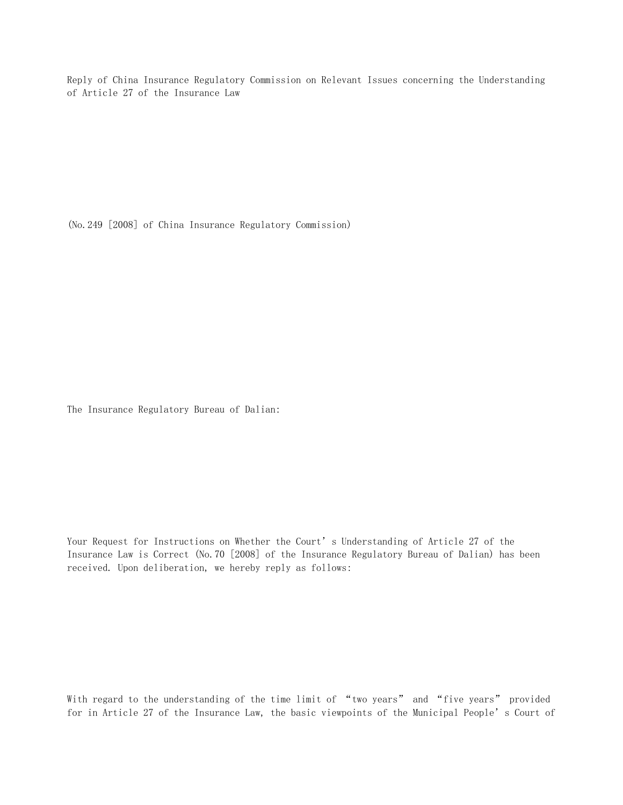Reply of China Insurance Regulatory Commission on Relevant Issues concerning the Understanding of Article 27 of the Insurance Law

(No.249 [2008] of China Insurance Regulatory Commission)

The Insurance Regulatory Bureau of Dalian:

Your Request for Instructions on Whether the Court's Understanding of Article 27 of the Insurance Law is Correct (No.70 [2008] of the Insurance Regulatory Bureau of Dalian) has been received. Upon deliberation, we hereby reply as follows:

With regard to the understanding of the time limit of "two years" and "five years" provided for in Article 27 of the Insurance Law, the basic viewpoints of the Municipal People's Court of